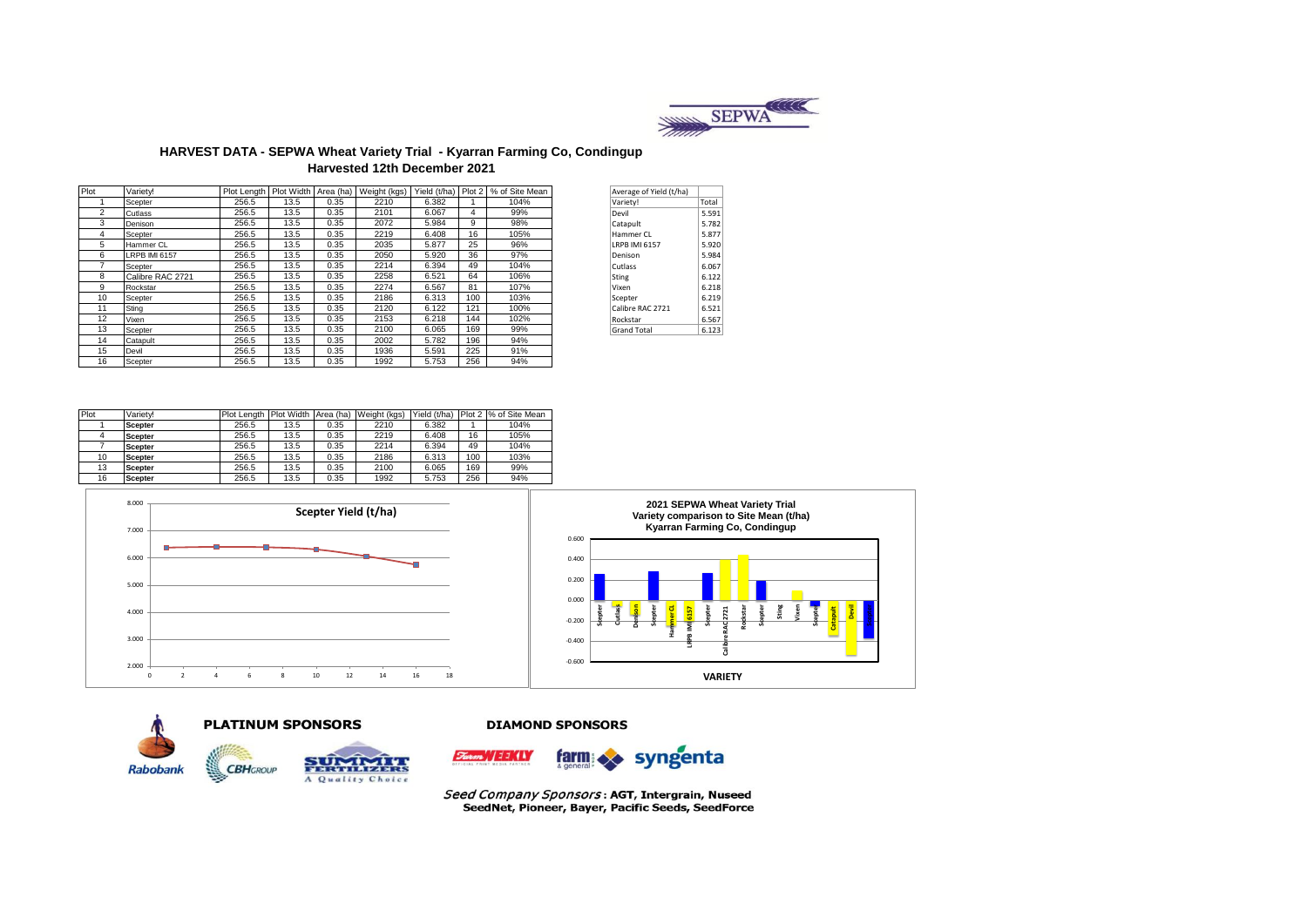

### **HARVEST DATA - SEPWA Wheat Variety Trial - Kyarran Farming Co, Condingup Harvested 12th December 2021**

| Plot           | Varietv!             |       |      |      | Plot Length   Plot Width   Area (ha)   Weight (kgs) | Yield (t/ha) Plot 2 |     | % of Site Mean | Average of Yield (t/ha) |       |
|----------------|----------------------|-------|------|------|-----------------------------------------------------|---------------------|-----|----------------|-------------------------|-------|
|                | Scepter              | 256.5 | 13.5 | 0.35 | 2210                                                | 6.382               |     | 104%           | Variety!                | Total |
| $\overline{2}$ | Cutlass              | 256.5 | 13.5 | 0.35 | 2101                                                | 6.067               | 4   | 99%            | Devil                   | 5.591 |
| 3              | Denison              | 256.5 | 13.5 | 0.35 | 2072                                                | 5.984               | 9   | 98%            | Catapult                | 5.782 |
| 4              | Scepter              | 256.5 | 13.5 | 0.35 | 2219                                                | 6.408               | 16  | 105%           | Hammer CL               | 5.877 |
| 5              | Hammer CL            | 256.5 | 13.5 | 0.35 | 2035                                                | 5.877               | 25  | 96%            | <b>IRPB IMI 6157</b>    | 5.920 |
| 6              | <b>LRPB IMI 6157</b> | 256.5 | 13.5 | 0.35 | 2050                                                | 5.920               | 36  | 97%            | Denison                 | 5.984 |
|                | Scepter              | 256.5 | 13.5 | 0.35 | 2214                                                | 6.394               | 49  | 104%           | Cutlass                 | 6.067 |
| 8              | Calibre RAC 2721     | 256.5 | 13.5 | 0.35 | 2258                                                | 6.521               | 64  | 106%           | Sting                   | 6.122 |
| 9              | Rockstar             | 256.5 | 13.5 | 0.35 | 2274                                                | 6.567               | 81  | 107%           | Vixen                   | 6.218 |
| 10             | Scepter              | 256.5 | 13.5 | 0.35 | 2186                                                | 6.313               | 100 | 103%           | Scepter                 | 6.219 |
| 11             | Sting                | 256.5 | 13.5 | 0.35 | 2120                                                | 6.122               | 121 | 100%           | Calibre RAC 2721        | 6.521 |
| 12             | Vixen                | 256.5 | 13.5 | 0.35 | 2153                                                | 6.218               | 144 | 102%           | Rockstar                | 6.567 |
| 13             | Scepter              | 256.5 | 13.5 | 0.35 | 2100                                                | 6.065               | 169 | 99%            | <b>Grand Total</b>      | 6.123 |
| 14             | Catapult             | 256.5 | 13.5 | 0.35 | 2002                                                | 5.782               | 196 | 94%            |                         |       |
| 15             | Devil                | 256.5 | 13.5 | 0.35 | 1936                                                | 5.591               | 225 | 91%            |                         |       |
| 16             | Scepter              | 256.5 | 13.5 | 0.35 | 1992                                                | 5.753               | 256 | 94%            |                         |       |

| Average of Yield (t/ha) |       |
|-------------------------|-------|
| Variety!                | Total |
| Devil                   | 5.591 |
| Catapult                | 5.782 |
| Hammer CI               | 5.877 |
| <b>IRPB IMI 6157</b>    | 5.920 |
| Denison                 | 5.984 |
| Cutlass                 | 6.067 |
| Sting                   | 6.122 |
| Vixen                   | 6.218 |
| Scepter                 | 6.219 |
| Calibre RAC 2721        | 6.521 |
| Rockstar                | 6.567 |
| <b>Grand Total</b>      | 6.123 |
|                         |       |

| Plot | Varietv!       | Plot Lenath | Plot Width Area (ha) |      | Weight (kgs) | Yield (t/ha) |     | Plot 2 % of Site Mean |
|------|----------------|-------------|----------------------|------|--------------|--------------|-----|-----------------------|
|      | <b>Scepter</b> | 256.5       | 13.5                 | 0.35 | 2210         | 6.382        |     | 104%                  |
|      | <b>Scepter</b> | 256.5       | 13.5                 | 0.35 | 2219         | 6.408        | 16  | 105%                  |
|      | <b>Scepter</b> | 256.5       | 13.5                 | 0.35 | 2214         | 6.394        | 49  | 104%                  |
| 10   | <b>Scepter</b> | 256.5       | 13.5                 | 0.35 | 2186         | 6.313        | 100 | 103%                  |
| 13   | <b>Scepter</b> | 256.5       | 13.5                 | 0.35 | 2100         | 6.065        | 169 | 99%                   |
| 16   | <b>Scepter</b> | 256.5       | 13.5                 | 0.35 | 1992         | 5.753        | 256 | 94%                   |









A Quality Choice

#### **DIAMOND SPONSORS**



Seed Company Sponsors: AGT, Intergrain, Nuseed SeedNet, Pioneer, Bayer, Pacific Seeds, SeedForce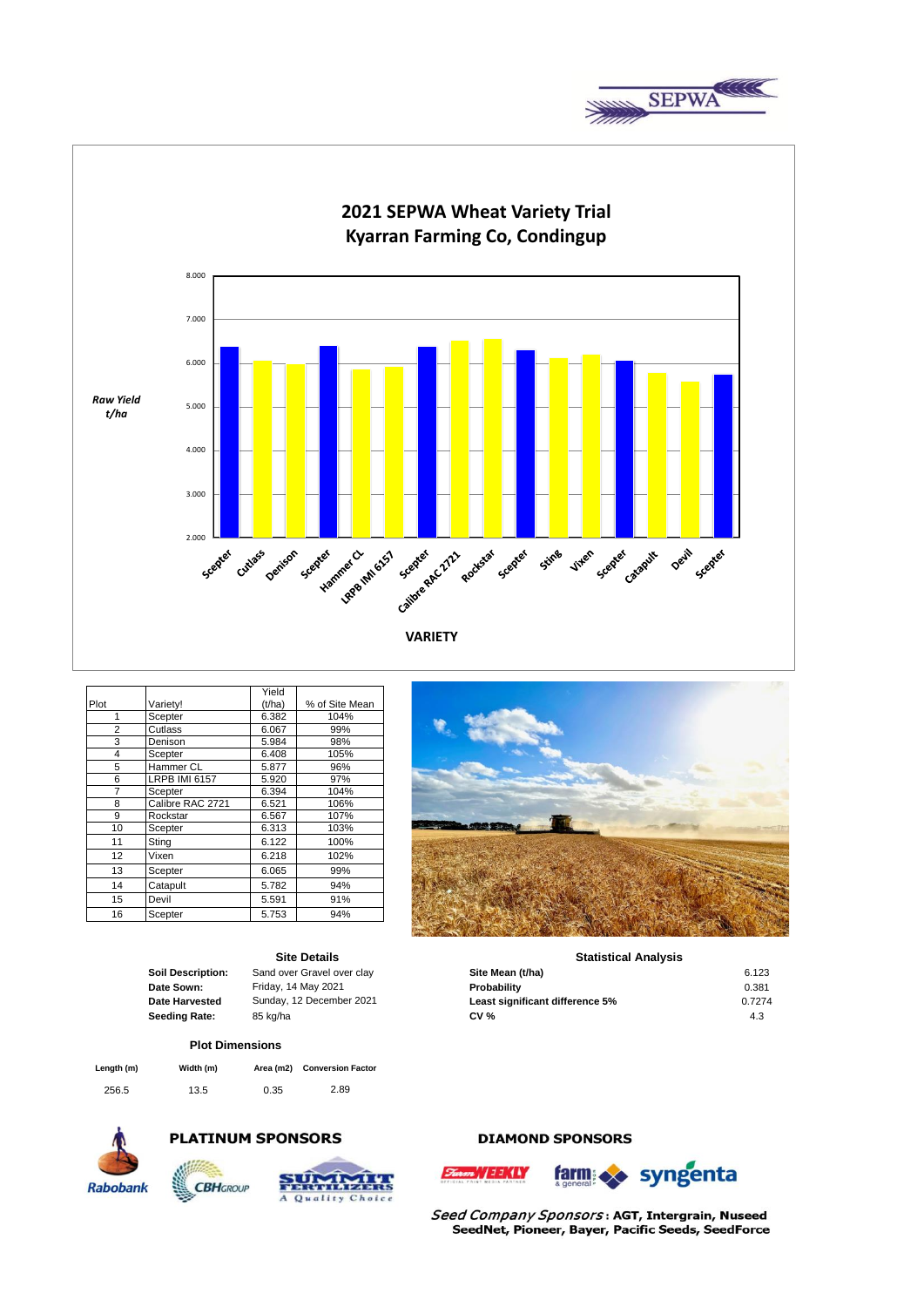



|      |                      | Yield  |                |
|------|----------------------|--------|----------------|
| Plot | Variety!             | (t/ha) | % of Site Mean |
| 1    | Scepter              | 6.382  | 104%           |
| 2    | Cutlass              | 6.067  | 99%            |
| 3    | Denison              | 5.984  | 98%            |
| 4    | Scepter              | 6.408  | 105%           |
| 5    | Hammer CL            | 5.877  | 96%            |
| 6    | <b>LRPB IMI 6157</b> | 5.920  | 97%            |
| 7    | Scepter              | 6.394  | 104%           |
| 8    | Calibre RAC 2721     | 6.521  | 106%           |
| 9    | Rockstar             | 6.567  | 107%           |
| 10   | Scepter              | 6.313  | 103%           |
| 11   | Sting                | 6.122  | 100%           |
| 12   | Vixen                | 6.218  | 102%           |
| 13   | Scepter              | 6.065  | 99%            |
| 14   | Catapult             | 5.782  | 94%            |
| 15   | Devil                | 5.591  | 91%            |
| 16   | Scepter              | 5.753  | 94%            |

|  | <b>Site Details</b> |  |
|--|---------------------|--|
|  |                     |  |

| <b>Soil Description:</b> |
|--------------------------|
| Date Sown:               |
| Date Harvested           |
| Seeding Rate:            |
|                          |

**Sand over Gravel over clay** 

## **Plot Dimensions**

| Length (m) | Width (m) | Area (m2) | <b>Conversion Factor</b> |
|------------|-----------|-----------|--------------------------|
| 256.5      | 13.5      | 0.35      | 2.89                     |



# **PLATINUM SPONSORS**



# **DIAMOND SPONSORS**

WEEKLY





Seed Company Sponsors: AGT, Intergrain, Nuseed SeedNet, Pioneer, Bayer, Pacific Seeds, SeedForce



### **Statistical Analysis**

| <b>Soil Description:</b> | Sand over Gravel over clay | Site Mean (t/ha)                | 6.123  |
|--------------------------|----------------------------|---------------------------------|--------|
| Date Sown:               | Friday, 14 May 2021        | Probability                     | 0.381  |
| Date Harvested           | Sunday, 12 December 2021   | Least significant difference 5% | 0.7274 |
| Seeding Rate:            | 85 ka/ha                   | CV %                            | 4.3    |
|                          |                            |                                 |        |